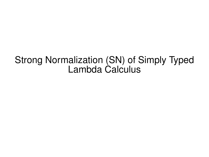## Strong Normalization (SN) of Simply Typed Lambda Calculus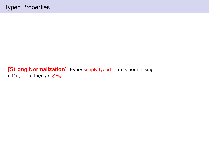## **[Strong Normalization]** Every simply typed term is normalising: if  $\Gamma \vdash_{\lambda} t : A$ , then  $t \in SN_{\beta}$ .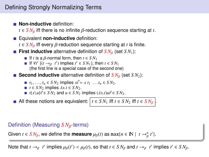## Defining Strongly Normalizing Terms

**Non-inductive** definition:

 $t \in SN_{\beta}$  iff there is no infinite  $\beta$ -reduction sequence starting at *t*.

**Equivalent non-inductive definition:** 

 $t \in S N_B$  iff every  $\beta$ -reduction sequence starting at *t* is finite.

- **First inductive** alternative definition of  $S N_\beta$  (set  $S N_1$ ):<br>**Fig. 1** If *t* is a *β*-normal form, then  $t \in S N_1$ 
	-
	- If *t* is a β-normal form, then *t* ∈ *SN*<sub>1</sub><br>If ∀*t'* [(*t* →β *t'*) implies *t'* ∈ *SN*<sub>1</sub>], then *t* ∈ *SN*<sub>1</sub><br>(the first line is a special case of the second or
		- (the first line is a special case of the second one)
- **Second inductive** alternative definition of  $S N<sub>β</sub>$  (set *SN*<sub>2</sub>):
	- $t_1, ..., t_n$  ∈ *S N*<sub>2</sub> implies  $x\vec{t} = x t_1 ... t_n$  ∈ *S N*<sub>2</sub>.
	- *t* **∈** *SN***2 implies**  $\lambda x.t$  **∈** *SN***<sub>2</sub>.**
	- *t***{***x***\***u***}** $\vec{r} \in SN_2$  **and**  $u \in SN_2$  **implies**  $(\lambda x.t)u\vec{r} \in SN_2$ **.**

All these notions are equivalent:  $t \in SN_1$  iff  $t \in SN_2$  iff  $t \in SN_\beta$ .

#### Definition (Measuring *SN*<sub>β</sub>-terms)

Given  $t \in S N_\beta$ , we define the **measure**  $\mu_\beta(t)$  as  $\max\{n \in \mathbb{N} \mid t \to^n_\beta t'\}.$ β

Note that  $t \to_{\beta} t'$  implies  $\mu_{\beta}(t') < \mu_{\beta}(t)$ , so that  $t \in SN_{\beta}$  and  $t \to_{\beta} t'$  implies  $t' \in SN_{\beta}$ .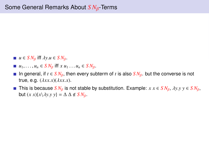- $u$  ∈ *S*  $N_B$  iff  $\lambda y.u$  ∈ *S*  $N_B$ .
- $u_1, \ldots, u_n$  ∈  $SN_\beta$  iff  $x u_1 \ldots u_n$  ∈  $SN_\beta$ .
- In general, if  $t \in S N_{\beta}$ , then every subterm of t is also  $S N_{\beta}$ . but the converse is not true, e.g. (λ*xx*.*x*)(λ*xx*.*x*).
- This is because  $SN_{\beta}$  is not stable by substitution. Example:  $x x \in SN_{\beta}$ ,  $\lambda y. y y \in SN_{\beta}$ , but  $(x x)(x\lambda y.y) = \Delta \Delta \notin SN_B$ .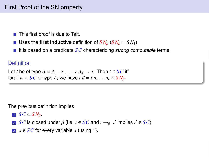- This first proof is due to Tait.
- Uses the **first inductive** definition of  $S N<sub>β</sub>$  ( $S N<sub>β</sub> = S N<sub>1</sub>$ )
- It is based on a predicate *SC* characterizing strong computable terms.

#### **Definition**

```
Let t be of type A = A_1 \rightarrow \ldots \rightarrow A_n \rightarrow \tau. Then t \in SC iff
forall u_i \in SC of type A_i we have t \, \vec{u} = t \, u_1 \ldots u_n \in SN_\beta.
```
The previous definition implies

- $\blacksquare$  *SC*  $\subseteq$  *SN*<sub>B</sub>.
- 2 *SC* is closed under β (i.e. *t* ∈ *SC* and *t* →<sub>β</sub> *t'* implies *t'* ∈ *SC*).
- **3**  $x \in \text{SC}$  for every variable *x* (using 1).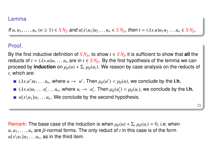## kesner@irif.fr Lemma www.irif.fr Lemma www.irif.fr Lemma www.irif.fr Lemma www.irif.fr

If  $u, u_1, \ldots, u_n$   $(n \ge 1) \in SN_\beta$  and  $u\{x\}u_1\}u_2\ldots u_n \in SN_\beta$ , then  $t = (\lambda x.u)u_1u_2\ldots u_n \in SN_\beta$ .

### Proof.

By the first inductive definition of  $SN_B$ , to show  $t \in SN_B$  it is sufficient to show that **all** the reducts of  $t = (\lambda x.u)u_1 \ldots u_n$  are in  $t \in SN_\beta$ . By the first hypothesis of the lemma we can proceed by **induction** on  $\mu_B(u) + \sum_i \mu_B(u_i)$ . We reason by case analysis on the reducts of *t*, which are:

- $(\lambda x.u')u_1 \ldots u_n$ , where  $u \to u'$ . Then  $\mu_\beta(u') < \mu_\beta(u)$ , we conclude by the **i.h.**
- $(\lambda x.u)u_1 \ldots u'_i \ldots u_n$ , where  $u_i \rightarrow u'_i$ . Then  $\mu_\beta(u'_i) < \mu_\beta(u_i)$ , we conclude by the **i.h.**

 $\Box$ 

 $\blacksquare$  *u*{*x*\*u*<sub>1</sub>}*u*<sub>2</sub> . . . *u<sub>n</sub>*. We conclude by the second hypothesis.

Remark: The base case of the induction is when  $\mu_\beta(u) + \sum_i \mu_\beta(u_i) = 0$ , *i.e.* when  $u, u_1, \ldots, u_n$  are  $\beta$ -normal forms. The only reduct of *t* in this case is of the form  $u\{x\}u_1\}u_2\ldots u_n$ , as in the third item.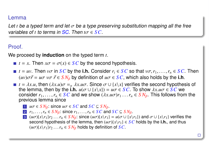## www.irif.fr/ $k$ emma $\parallel$

Let *t* be a typed term and let  $\sigma$  be a type preserving substitution mapping all the free variables of *<sup>t</sup>* to terms in SC. Then *<sup>t</sup>*σ <sup>∈</sup> *SC*.

## Proof

We proceed by **induction** on the typed term *t*.

- $t = x$ . Then  $x\sigma = \sigma(x) \in SC$  by the second hypothesis.
- $t = uv$ . Then  $v\sigma$  in *SC* by the **i.h.** Consider  $r_i \in SC$  so that  $v\sigma, r_1, \ldots, r_n \in SC$ . Then  $(uv)\sigma\vec{r} = u\sigma v\sigma \vec{r} \in SN_B$  by definition of  $u\sigma \in SC$ , which also holds by the i.h.
- $t = \lambda x \cdot u$ , then  $(\lambda x \cdot u)\sigma = \alpha \lambda x \cdot u\sigma$ . Since  $\sigma \cup \{x \setminus x\}$  verifies the second hypothesis of the lemma, then by the **i.h.**  $u(\sigma \cup \{x \setminus x\}) = u\sigma \in \mathcal{S}\mathcal{C}$ . To show  $\lambda x.u\sigma \in \mathcal{S}\mathcal{C}$  we consider  $r_1, \ldots, r_n \in SC$  and we show  $(\lambda x. u\sigma)r_1 \ldots r_n \in SN_\beta$ . This follows from the previous lemma since
	- 1  $u\sigma \in SN_B$ : since  $u\sigma \in SC$  and  $SC \subseteq SN_B$ .
	- 2  $r_1, \ldots, r_n \in SN_B$ : since  $r_1, \ldots, r_n \in SC$  and  $SC \subseteq SN_B$ .
	- 3 (*u* $\sigma$ ){ $x$ \*r*<sub>1</sub>}*r*<sub>2</sub> . . . *r<sub>n</sub>*  $\in$  *SN*<sub>β</sub>: since (*u* $\sigma$ ){ $x$ \*r*<sub>1</sub>} = *u*( $\sigma$   $\cup$  { $x$ \*r*<sub>1</sub>} and  $\sigma$   $\cup$  { $x$ \*r*<sub>1</sub>} verifies the second hypothesis of the lemma, then  $(u\sigma){x\}_{r}$   $\in$  *SC* holds by the *i.h.*, and thus  $(u\sigma)\{x\}_{1}$ *r*<sub>2</sub> . . . *r<sub>n</sub>*  $\in$  *SN<sub>β</sub>* holds by definition of *SC*.

 $\Box$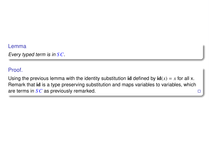#### Lemma

Every typed term is in *SC*.

### Proof.

Using the previous lemma with the identity substitution id defined by  $\mathbf{id}(x) = x$  for all x. Remark that id is a type preserving substitution and maps variables to variables, which are terms in *SC* as previously remarked.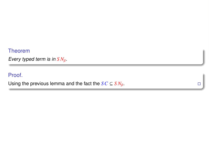#### Theorem

Every typed term is in  $SN_{\beta}$ .

### Proof.

Using the previous lemma and the fact the  $SC \subseteq SN_{\beta}$ .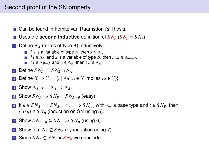## Second proof of the SN property

- Can be found in Femke van Raamsdonk's Thesis.
- Uses the **second inductive** definition of  $S N<sub>B</sub>$  ( $S N<sub>B</sub> = S N<sub>2</sub>$ )
- <sup>1</sup> Define Λ*<sup>A</sup>* (terms of type *A*) inductively:
	- If *x* is a variable of type *A*, then  $x \in \Lambda$ <sub>A</sub>.
	- If  $t \in \Lambda_C$  and *x* is a variable of type *B*, then  $\lambda x.t \in \Lambda_{B \to C}$ .
	- If  $t \in \Lambda_{B\to A}$  and  $u \in \Lambda_B$ , then  $t u \in \Lambda_A$ .
- **2** Define  $SN_4 := SN_2 \cap \Lambda_4$ .
- **3** Define *X* ⇒ *Y* := {*t* |  $\forall u.(u \in X \text{ implies } tu \in Y)$ }.
- 4 Show  $\Lambda_{A\rightarrow B} = \Lambda_A \Rightarrow \Lambda_B$ .
- <span id="page-9-0"></span>**5** Show  $SN_A \Rightarrow SN_B \subseteq SN_{A\rightarrow B}$  (easy).
- <span id="page-9-1"></span>6 If  $u \in SN_A$ ,  $\Rightarrow SN_A$ ,  $\Rightarrow \dots \Rightarrow SN_A$  with  $A_m$  a base type and  $t \in SN_B$ , then  $t\{x\}u\} \in SN_B$  (induction on SN using [5\)](#page-9-0).
- <span id="page-9-2"></span>**7** Show  $SN_{A\rightarrow B} \subseteq SN_A \Rightarrow SN_B$  (using [6\)](#page-9-1).
- 8 Show that  $\Lambda_A \subseteq SN_A$  (by induction using [7\)](#page-9-2).
- 9 Since  $SN_A \subseteq SN_2 = SN_B$  we conclude.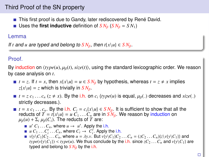## Third Proof of the SN property

- $\blacksquare$  This first proof is due to Gandy, later rediscovered by René David.
- Uses the **first inductive** definition of  $SN_{B}$  ( $SN_{B} = SN_{1}$ )

#### Lemma

If *t* and *u* are typed and belong to  $SN_8$ , then  $t\{x\}u \in SN_8$ .

#### Proof.

By induction on  $\langle type(u), \mu_B(t), \text{size}(t) \rangle$ , using the standard lexicographic order. We reason by case analysis on *t*.

- $t = z$ . If  $t = x$ , then  $x\{x\}u\} = u \in SN_B$  by hypothesis, whereas  $t = z \neq x$  implies  $z\{x\}u\} = z$  which is trivially in  $SN_{\beta}$ .
- $t = z c_1 \ldots c_n$  ( $z \neq x$ ). By the i.h. on  $c_i$  (*type*(*u*) is equal,  $\mu_{\beta}$ (*\_*) decreases and *size*(*\_*) strictly decreases.).
- $t = x c_1 ... c_n$ . By the i.h.  $C_i = c_i(x \backslash u) \in SN_\beta$ . It is sufficient to show that all the reducts of  $T = t\{x\}u = u C_1 \ldots C_n$  are in  $S N_8$ . We reason by induction on  $\mu_{\beta}(u) + \sum_{i} \mu_{\beta}(C_i)$ . The reducts of *T* are:
	- $u' C_1 ... C_n$ , where  $u \to u'$ . Apply the i.h.<br>*u*  $C_1$   $C'$   $C_n$  where  $C_i \to C'$  Apply
	- $u C_1 ... C'_i ... C_n$ , where  $C_i \rightarrow C'_i$ . Apply the i.h.<br> $v{w \setminus C_1} C'_i$ ,  $C_{-i}$  where  $u = \lambda v v$ . But  $v{w \setminus C_1} C_2$
	- $\bullet$   $v\{y\}C_1\}C_2...C_n$ , where  $u = \lambda y.v$ . But  $v\{y\}C_1\}C_2...C_n = (zC_2...C_n)\{z\{v\{y\}C_1\}\}\$ and  $type(v{y}\backslash C_1)$  <  $type(u)$ . We thus conclude by the i.h. since  $zC_2 \ldots C_n$  and  $v{y}\backslash C_1$  are typed and belong to  $SN<sub>β</sub>$  by the i.h.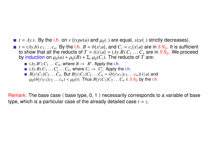- *t* =  $\lambda$ *y.v.* By the i.h. on *v* (*type*(*u*) and  $\mu_{\beta}$ (*o*) are equal, *size*(*o*) strictly decreases).<br> *t* =  $(\lambda y.b) c_1 \dots c_n$ . By the i.h.  $B = b\{x \setminus u\}$ , and  $C_i = c_i\{x \setminus u\}$  are in  $\gamma N_{\beta}$ . It is sufficient
- *t* = (*λy.b*)  $c_1 \ldots c_n$ . By the i.h.  $B = b\{x\}u$ , and  $C_i = c_i\{x\}u$  are in  $SN_B$ . It is sufficient to show that all the reducts of  $T = t\{x\}u$  = (*λy.B*)  $C_1 \ldots C_n$  are in  $SN_B$ . We proceed to show that all the reducts of  $T = t\{x\}\mu = (\lambda y.B) C_1 \dots C_n$  are in  $S\dot{N}_{\beta}$ . We proceed by induction on  $\mu_{\beta}(u) + \mu_{\beta}(B) + \Sigma_i \mu_{\beta}(C_i)$ . The reducts of  $T$  are: by induction on  $\mu_B(u) + \mu_B(B) + \sum_i \mu_B(C_i)$ . The reducts of *T* are:
	- $(\lambda y.B') C_1 \dots C_n$ , where  $B \to B'$ . Apply the i.h.<br> $(\lambda y.B) C_1 \dots C'_i \dots C_n$ , where  $C_i \to C'_i$ . Apply the
	- $(\lambda y.B) C_1 \dots C'_i \dots C_n$ , where  $C_i \rightarrow C'_i$ . Apply the i.h.<br> $B\{y \} C_1\} C_2 \dots C_n$ . But  $B\{y \} C_1\} C_2 \dots C_n = (b\{y \} c_1)c_2$ .
	- *B*{*y*\*C*<sub>1</sub>}*C*<sub>2</sub> . . . *C<sub>n</sub>*. But *B*{*y*\*C*<sub>1</sub>}*C*<sub>2</sub> . . . *C<sub>n</sub>* = (*b*{*y*\*c*<sub>1</sub>}*c*<sub>2</sub> . . . *c<sub>n</sub>*){*x*\*u*} and  $\mu_{\beta}(b\{y\} \backslash c_1\}c_2 \ldots c_n) < \mu_{\beta}(t)$ . Thus  $B\{y\} \backslash C_1\}c_2 \ldots c_n \in S\ N_\beta$  by the i.h.

Remark: The base case  $\langle$  base type, 0, 1  $\rangle$  necessarily corresponds to a variable of base type, which is a particular case of the already detailed case *t* = *z*.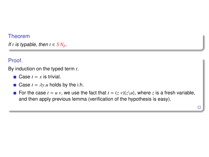#### Theorem

If *t* is typable, then  $t \in SN_{\beta}$ .

## Proof.

By induction on the typed term *t*.

- Case  $t = x$  is trivial.
- **Case**  $t = \lambda y.u$  holds by the i.h.
- For the case  $t = u v$ , we use the fact that  $t = (z v) \{z \mid u\}$ , where *z* is a fresh variable, and then apply previous lemma (verification of the hypothesis is easy).

 $\Box$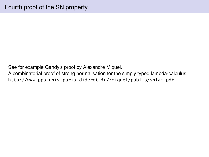See for example Gandy's proof by Alexandre Miquel.

A combinatorial proof of strong normalisation for the simply typed lambda-calculus. http://www.pps.univ-paris-diderot.fr/~miquel/publis/snlam.pdf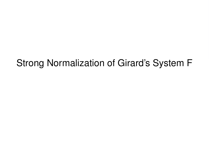# Strong Normalization of Girard's System F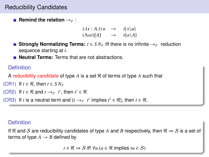## Reducibility Candidates

**Remind the relation**  $\rightarrow$ *F* :

 $(\lambda x : A.t) u \rightarrow t\{x\}u$  $(\Lambda \alpha t)[A] \rightarrow t\{\alpha \setminus A\}$ 

- **Strongly Normalizing Terms:**  $t \in SN_F$  iff there is no infinite  $\rightarrow_F$  reduction sequence starting at *t*.
- **Neutral Terms:** Terms that are not abstractions.

## Definition

A reducibility candidate of type *A* is a set R of terms of type *A* such that

```
(CR1) If t \in \mathcal{R}, then t \in SN_F
```

```
(CR2) If t \in \mathcal{R} and t \rightarrow_F t', then t' \in \mathcal{R}
```
(CR3) If *t* is a neutral term and  $(t \rightarrow_F t'$  implies  $t' \in \mathcal{R}$ ), then  $t \in \mathcal{R}$ .

## **Definition**

If R and S are reducibility candidates of type A and B respectively, then  $\mathcal{R} \Rightarrow S$  is a set of terms of type  $A \rightarrow B$  defined by

*t* ∈  $\mathcal{R}$   $\Rightarrow$  *S* iff  $\forall u$ .  $(u \in \mathcal{R}$  implies  $tu \in \mathcal{S}$ )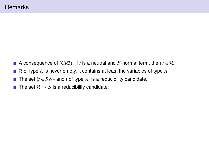- A consequence of (*CR3*): If *t* is a neutral and *F*-normal term, then  $t \in \mathcal{R}$ .
- R of type A is never empty, it contains at least the variables of type A.
- The set  $\{t \in SN_F \text{ and } t \text{ of type } A\}$  is a reducibility candidate.  $\mathcal{A}$
- The set  $\mathcal{R} \Rightarrow \mathcal{S}$  is a reducibility candidate.  $\overline{\phantom{a}}$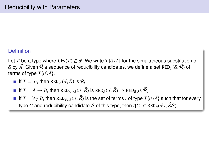## **Definition**

Let *T* be a type where t  $f$ v $(T) ⊆ \vec{\alpha}$ . We write  $T\{\vec{\alpha}\}A$ } for the simultaneous substitution of <br>α by 4⊂ Given α a sequence of reducibility candidates, we define a set RFD*-(α α* ) of *α*` by *A*´. Given 侬 a sequence of reducibility candidates, we define a set RED<sub>*T*</sub> (*α*̀, 侬) of<br>terms of type *T* (*ਕ*ੋ 4) terms of type  $T\{\vec{\alpha}\backslash \vec{A}\}.$ 

- If  $T = \alpha_i$ , then  $\text{RED}_{\alpha_i}(\vec{\alpha}, \mathcal{R})$  is  $\mathcal{R}_i$
- If  $T = A \rightarrow B$ , then  $RED_{A\rightarrow B}(\vec{\alpha}, \vec{\beta})$  is  $RED_A(\vec{\alpha}, \vec{\beta}) \Rightarrow RED_B(\vec{\alpha}, \vec{\beta})$
- If  $T = \forall \gamma.B$ , then  $RED_{\gamma \gamma.B}(\vec{\alpha}, \vec{\beta})$  is the set of terms *t* of type  $T\{\vec{\alpha} \setminus \vec{A}\}$  such that for every type *C* and reducibility candidate *S* of this type, then  $t[C] \in \text{RED}_B(\vec{\alpha}\gamma, \vec{\beta}S)$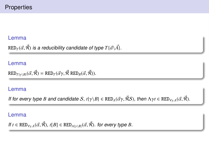#### Lemma

 $RED_{\mathcal{T}}(\vec{\alpha}, \vec{\beta})$  is a reducibility candidate of type  $T{\{\vec{\alpha}\}\vec{A}\}.$ 

#### Lemma

$$
\text{RED}_{T\{\gamma\backslash B\}}(\vec{\alpha}, \vec{\mathcal{R}}) = \text{RED}_T(\vec{\alpha}\gamma, \vec{\mathcal{R}} \text{ RED}_B(\vec{\alpha}, \vec{\mathcal{R}})).
$$

#### Lemma

If for every type *B* and candidate  $S$ ,  $t\{\gamma\langle B\rangle \in \text{RED}_A(\vec{\alpha}\gamma, \vec{\beta}\mathcal{S})$ , then  $\Lambda\gamma t \in \text{RED}_{\gamma\gamma A}(\vec{\alpha}, \vec{\beta})$ .

#### Lemma

If 
$$
t \in RED_{\gamma,A}(\vec{\alpha}, \vec{\beta}), t[B] \in RED_{A(\gamma \setminus B)}(\vec{\alpha}, \vec{\beta})
$$
. for every type B.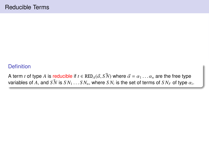#### **Definition**

A term *t* of type *A* is reducible if  $t \in \text{RED}_A(\vec{\alpha}, S\hat{N})$  where  $\vec{\alpha} = \alpha_1 \dots \alpha_n$  are the free type  $\alpha$  variables of *A* and  $S\vec{N}$  is *S* N . S N . where *S* N is the set of terms of *S* N . of type  $\alpha$ variables of  $A$ , and  $SN$  is  $SN_1 \ldots SN_n$ , where  $SN_i$  is the set of terms of  $SN_F$  of type  $\alpha_i$ .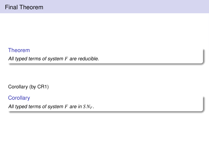Theorem

All typed terms of system *F* are reducible.

Corollary (by CR1)

**Corollary** 

All typed terms of system *F* are in *S NF*.